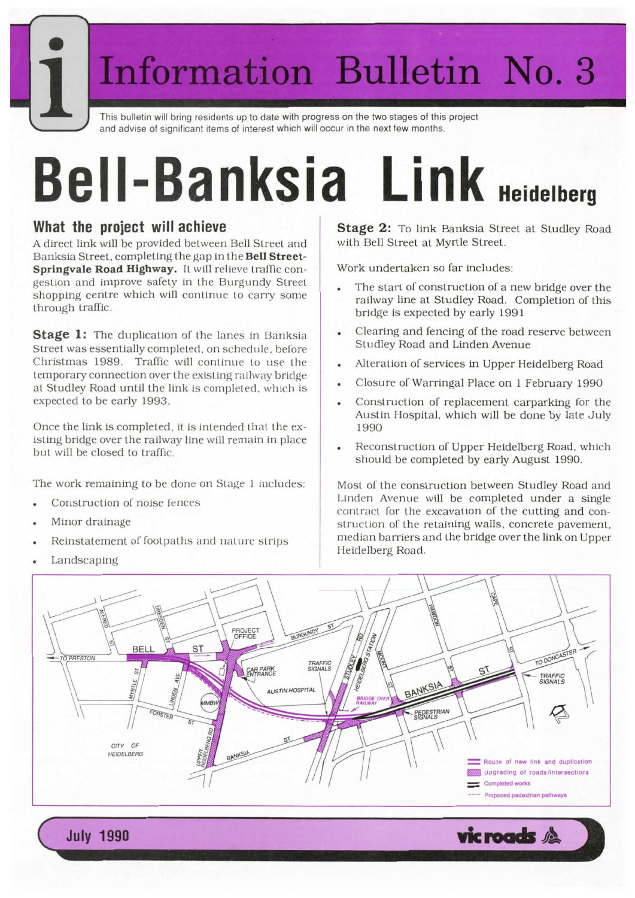# **Information Bulletin Will bring residents up to date with progress on the two stages of this project**

and advise of significant items of interest which will occur in the next few months.

## Bell-Banksia Link **Heidelberg**

#### What the project will achieve

A direct link will be provided between Bell Street and Banksia Street, completing the gap in the **Bell Street-Springvale Road Highway.** It will relieve traffic con gestion and improve safety in the Burgundy Street shopping centre which will continue to carry some through traffic.

**Stage 1:** The duplication of the lanes in Banksia Street was essentially completed, on schedule, before Christmas 1989. Traffic will continue to use the temporary connection over the existing railway bridge at Studley Road until the link is completed, which is expected to be early 1993.

Once the link is completed, it is intended that the existing bridge over the railway line will remain in place but will be closed to traffic.

The work remaining to be done on Stage <sup>1</sup> includes:

- Construction of noise fences
- Minor drainage
- Reinstatement of footpaths and nature strips
- Landscaping

**Stage 2:** To link Banksia Street at Studley Road with Bell Street at Myrtle Street.

Work undertaken so far includes:

- The start of construction of a new bridge over the railway line at Studley Road. Completion of this bridge is expected by early 1991
- Clearing and fencing of the road reserve between Studley Road and Linden Avenue
- Alteration of services in Upper Heidelberg Road
- Closure of Warringal Place on 1 February 1990
- Construction of replacement carparking for the Austin Hospital, which will be done by late July 1990
- Reconstruction of Upper Heidelberg Road, which should be completed by early August 1990.

Most of the construction between Studley Road and Linden Avenue will be completed under a single contract for the excavation of the cutting and construction of the retaining walls, concrete pavement. median barriers and the bridge over the link on Upper Heidelberg Road.